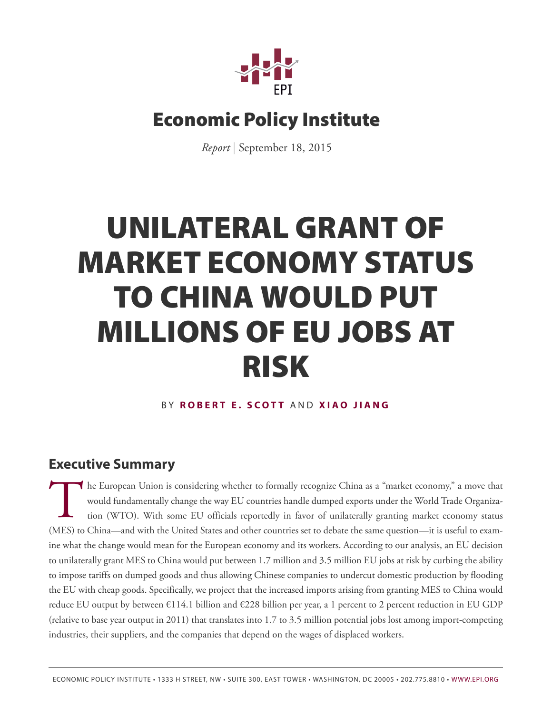

## Economic Policy Institute

*Report* | September 18, 2015

# UNILATERAL GRANT OF MARKET ECONOMY STATUS TO CHINA WOULD PUT MILLIONS OF EU JOBS AT RISK

#### B Y **R [OBERT E](http://www.epi.org/people/robert-e-scott/) . SC O T T** AND **XIA [O JIANG](http://www.epi.org/people/xiao-jiang/)**

### **Executive Summary**

The European Union is considering whether to formally recognize China as a "market economy," a move that would fundamentally change the way EU countries handle dumped exports under the World Trade Organization (WTO). With he European Union is considering whether to formally recognize China as a "market economy," a move that would fundamentally change the way EU countries handle dumped exports under the World Trade Organization (WTO). With some EU officials reportedly in favor of unilaterally granting market economy status ine what the change would mean for the European economy and its workers. According to our analysis, an EU decision to unilaterally grant MES to China would put between 1.7 million and 3.5 million EU jobs at risk by curbing the ability to impose tariffs on dumped goods and thus allowing Chinese companies to undercut domestic production by flooding the EU with cheap goods. Specifically, we project that the increased imports arising from granting MES to China would reduce EU output by between  $\epsilon$ 114.1 billion and  $\epsilon$ 228 billion per year, a 1 percent to 2 percent reduction in EU GDP (relative to base year output in 2011) that translates into 1.7 to 3.5 million potential jobs lost among import-competing industries, their suppliers, and the companies that depend on the wages of displaced workers.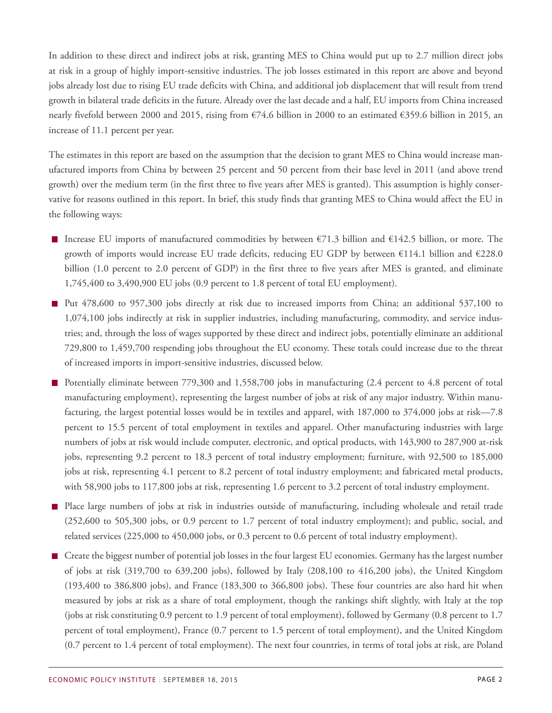In addition to these direct and indirect jobs at risk, granting MES to China would put up to 2.7 million direct jobs at risk in a group of highly import-sensitive industries. The job losses estimated in this report are above and beyond jobs already lost due to rising EU trade deficits with China, and additional job displacement that will result from trend growth in bilateral trade deficits in the future. Already over the last decade and a half, EU imports from China increased nearly fivefold between 2000 and 2015, rising from €74.6 billion in 2000 to an estimated €359.6 billion in 2015, an increase of 11.1 percent per year.

The estimates in this report are based on the assumption that the decision to grant MES to China would increase manufactured imports from China by between 25 percent and 50 percent from their base level in 2011 (and above trend growth) over the medium term (in the first three to five years after MES is granted). This assumption is highly conservative for reasons outlined in this report. In brief, this study finds that granting MES to China would affect the EU in the following ways:

- Increase EU imports of manufactured commodities by between  $\epsilon$ 71.3 billion and  $\epsilon$ 142.5 billion, or more. The growth of imports would increase EU trade deficits, reducing EU GDP by between €114.1 billion and €228.0 billion (1.0 percent to 2.0 percent of GDP) in the first three to five years after MES is granted, and eliminate 1,745,400 to 3,490,900 EU jobs (0.9 percent to 1.8 percent of total EU employment).
- Put 478,600 to 957,300 jobs directly at risk due to increased imports from China; an additional 537,100 to 1,074,100 jobs indirectly at risk in supplier industries, including manufacturing, commodity, and service industries; and, through the loss of wages supported by these direct and indirect jobs, potentially eliminate an additional 729,800 to 1,459,700 respending jobs throughout the EU economy. These totals could increase due to the threat of increased imports in import-sensitive industries, discussed below.
- Potentially eliminate between 779,300 and 1,558,700 jobs in manufacturing (2.4 percent to 4.8 percent of total manufacturing employment), representing the largest number of jobs at risk of any major industry. Within manufacturing, the largest potential losses would be in textiles and apparel, with 187,000 to 374,000 jobs at risk—7.8 percent to 15.5 percent of total employment in textiles and apparel. Other manufacturing industries with large numbers of jobs at risk would include computer, electronic, and optical products, with 143,900 to 287,900 at-risk jobs, representing 9.2 percent to 18.3 percent of total industry employment; furniture, with 92,500 to 185,000 jobs at risk, representing 4.1 percent to 8.2 percent of total industry employment; and fabricated metal products, with 58,900 jobs to 117,800 jobs at risk, representing 1.6 percent to 3.2 percent of total industry employment.
- **Place large numbers of jobs at risk in industries outside of manufacturing, including wholesale and retail trade** (252,600 to 505,300 jobs, or 0.9 percent to 1.7 percent of total industry employment); and public, social, and related services (225,000 to 450,000 jobs, or 0.3 percent to 0.6 percent of total industry employment).
- Create the biggest number of potential job losses in the four largest EU economies. Germany has the largest number of jobs at risk (319,700 to 639,200 jobs), followed by Italy (208,100 to 416,200 jobs), the United Kingdom (193,400 to 386,800 jobs), and France (183,300 to 366,800 jobs). These four countries are also hard hit when measured by jobs at risk as a share of total employment, though the rankings shift slightly, with Italy at the top (jobs at risk constituting 0.9 percent to 1.9 percent of total employment), followed by Germany (0.8 percent to 1.7 percent of total employment), France (0.7 percent to 1.5 percent of total employment), and the United Kingdom (0.7 percent to 1.4 percent of total employment). The next four countries, in terms of total jobs at risk, are Poland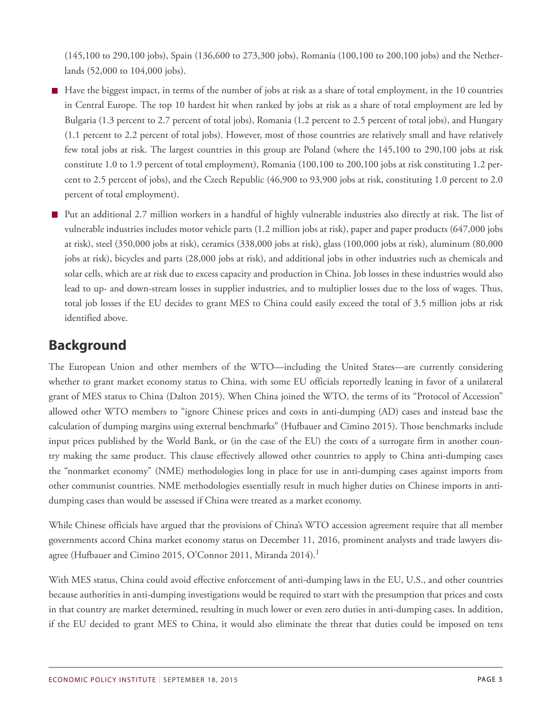(145,100 to 290,100 jobs), Spain (136,600 to 273,300 jobs), Romania (100,100 to 200,100 jobs) and the Netherlands (52,000 to 104,000 jobs).

- $\blacksquare$  Have the biggest impact, in terms of the number of jobs at risk as a share of total employment, in the 10 countries in Central Europe. The top 10 hardest hit when ranked by jobs at risk as a share of total employment are led by Bulgaria (1.3 percent to 2.7 percent of total jobs), Romania (1.2 percent to 2.5 percent of total jobs), and Hungary (1.1 percent to 2.2 percent of total jobs). However, most of those countries are relatively small and have relatively few total jobs at risk. The largest countries in this group are Poland (where the 145,100 to 290,100 jobs at risk constitute 1.0 to 1.9 percent of total employment), Romania (100,100 to 200,100 jobs at risk constituting 1.2 percent to 2.5 percent of jobs), and the Czech Republic (46,900 to 93,900 jobs at risk, constituting 1.0 percent to 2.0 percent of total employment).
- Put an additional 2.7 million workers in a handful of highly vulnerable industries also directly at risk. The list of vulnerable industries includes motor vehicle parts (1.2 million jobs at risk), paper and paper products (647,000 jobs at risk), steel (350,000 jobs at risk), ceramics (338,000 jobs at risk), glass (100,000 jobs at risk), aluminum (80,000 jobs at risk), bicycles and parts (28,000 jobs at risk), and additional jobs in other industries such as chemicals and solar cells, which are at risk due to excess capacity and production in China. Job losses in these industries would also lead to up- and down-stream losses in supplier industries, and to multiplier losses due to the loss of wages. Thus, total job losses if the EU decides to grant MES to China could easily exceed the total of 3.5 million jobs at risk identified above.

### **Background**

The European Union and other members of the WTO—including the United States—are currently considering whether to grant market economy status to China, with some EU officials reportedly leaning in favor of a unilateral grant of MES status to China (Dalton 2015). When China joined the WTO, the terms of its "Protocol of Accession" allowed other WTO members to "ignore Chinese prices and costs in anti-dumping (AD) cases and instead base the calculation of dumping margins using external benchmarks" (Hufbauer and Cimino 2015). Those benchmarks include input prices published by the World Bank, or (in the case of the EU) the costs of a surrogate firm in another country making the same product. This clause effectively allowed other countries to apply to China anti-dumping cases the "nonmarket economy" (NME) methodologies long in place for use in anti-dumping cases against imports from other communist countries. NME methodologies essentially result in much higher duties on Chinese imports in antidumping cases than would be assessed if China were treated as a market economy.

<span id="page-2-0"></span>While Chinese officials have argued that the provisions of China's WTO accession agreement require that all member governments accord China market economy status on December 11, 2016, prominent analysts and trade lawyers dis-agree (Hufbauer and Cimino 20[1](#page-14-0)5, O'Connor 2011, Miranda 2014).<sup>1</sup>

With MES status, China could avoid effective enforcement of anti-dumping laws in the EU, U.S., and other countries because authorities in anti-dumping investigations would be required to start with the presumption that prices and costs in that country are market determined, resulting in much lower or even zero duties in anti-dumping cases. In addition, if the EU decided to grant MES to China, it would also eliminate the threat that duties could be imposed on tens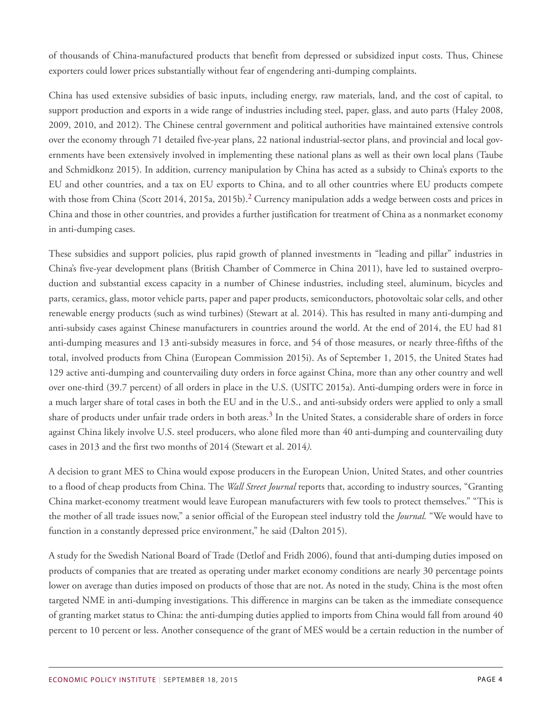of thousands of China-manufactured products that benefit from depressed or subsidized input costs. Thus, Chinese exporters could lower prices substantially without fear of engendering anti-dumping complaints.

China has used extensive subsidies of basic inputs, including energy, raw materials, land, and the cost of capital, to support production and exports in a wide range of industries including steel, paper, glass, and auto parts (Haley 2008, 2009, 2010, and 2012). The Chinese central government and political authorities have maintained extensive controls over the economy through 71 detailed five-year plans, 22 national industrial-sector plans, and provincial and local governments have been extensively involved in implementing these national plans as well as their own local plans (Taube and Schmidkonz 2015). In addition, currency manipulation by China has acted as a subsidy to China's exports to the EU and other countries, and a tax on EU exports to China, and to all other countries where EU products compete with those from China (Scott [2](#page-14-1)014, 2015a, 2015b).<sup>2</sup> Currency manipulation adds a wedge between costs and prices in China and those in other countries, and provides a further justification for treatment of China as a nonmarket economy in anti-dumping cases.

<span id="page-3-0"></span>These subsidies and support policies, plus rapid growth of planned investments in "leading and pillar" industries in China's five-year development plans (British Chamber of Commerce in China 2011), have led to sustained overproduction and substantial excess capacity in a number of Chinese industries, including steel, aluminum, bicycles and parts, ceramics, glass, motor vehicle parts, paper and paper products, semiconductors, photovoltaic solar cells, and other renewable energy products (such as wind turbines) (Stewart at al. 2014). This has resulted in many anti-dumping and anti-subsidy cases against Chinese manufacturers in countries around the world. At the end of 2014, the EU had 81 anti-dumping measures and 13 anti-subsidy measures in force, and 54 of those measures, or nearly three-fifths of the total, involved products from China (European Commission 2015i). As of September 1, 2015, the United States had 129 active anti-dumping and countervailing duty orders in force against China, more than any other country and well over one-third (39.7 percent) of all orders in place in the U.S. (USITC 2015a). Anti-dumping orders were in force in a much larger share of total cases in both the EU and in the U.S., and anti-subsidy orders were applied to only a small share of products under unfair trade orders in both areas. $^3$  $^3$  In the United States, a considerable share of orders in force against China likely involve U.S. steel producers, who alone filed more than 40 anti-dumping and countervailing duty cases in 2013 and the first two months of 2014 (Stewart et al. 2014*).*

<span id="page-3-1"></span>A decision to grant MES to China would expose producers in the European Union, United States, and other countries to a flood of cheap products from China. The *Wall Street Journal* reports that, according to industry sources, "Granting China market-economy treatment would leave European manufacturers with few tools to protect themselves." "This is the mother of all trade issues now," a senior official of the European steel industry told the *Journal.* "We would have to function in a constantly depressed price environment," he said (Dalton 2015).

A study for the Swedish National Board of Trade (Detlof and Fridh 2006), found that anti-dumping duties imposed on products of companies that are treated as operating under market economy conditions are nearly 30 percentage points lower on average than duties imposed on products of those that are not. As noted in the study, China is the most often targeted NME in anti-dumping investigations. This difference in margins can be taken as the immediate consequence of granting market status to China: the anti-dumping duties applied to imports from China would fall from around 40 percent to 10 percent or less. Another consequence of the grant of MES would be a certain reduction in the number of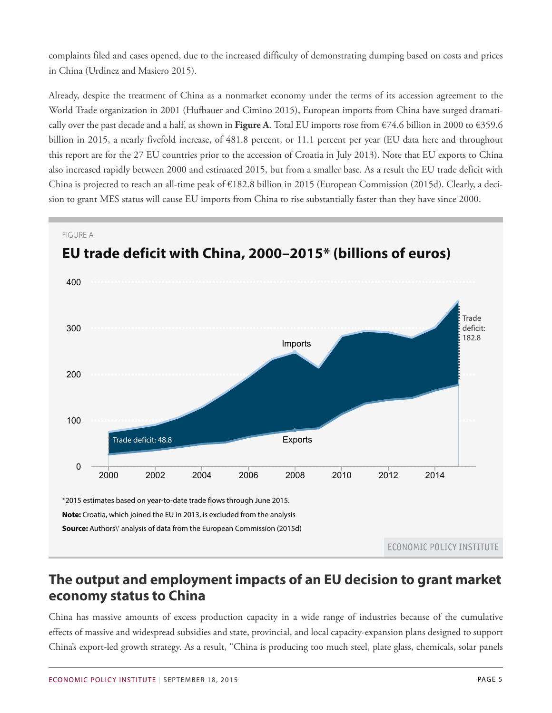complaints filed and cases opened, due to the increased difficulty of demonstrating dumping based on costs and prices in China (Urdinez and Masiero 2015).

Already, despite the treatment of China as a nonmarket economy under the terms of its accession agreement to the World Trade organization in 2001 (Hufbauer and Cimino 2015), European imports from China have surged dramatically over the past decade and a half, as shown in **Figure A**. Total EU imports rose from €74.6 billion in 2000 to €359.6 billion in 2015, a nearly fivefold increase, of 481.8 percent, or 11.1 percent per year (EU data here and throughout this report are for the 27 EU countries prior to the accession of Croatia in July 2013). Note that EU exports to China also increased rapidly between 2000 and estimated 2015, but from a smaller base. As a result the EU trade deficit with China is projected to reach an all-time peak of  $\epsilon$ 182.8 billion in 2015 (European Commission (2015d). Clearly, a decision to grant MES status will cause EU imports from China to rise substantially faster than they have since 2000.



### **The output and employment impacts of an EU decision to grant market economy status to China**

China has massive amounts of excess production capacity in a wide range of industries because of the cumulative effects of massive and widespread subsidies and state, provincial, and local capacity-expansion plans designed to support China's export-led growth strategy. As a result, "China is producing too much steel, plate glass, chemicals, solar panels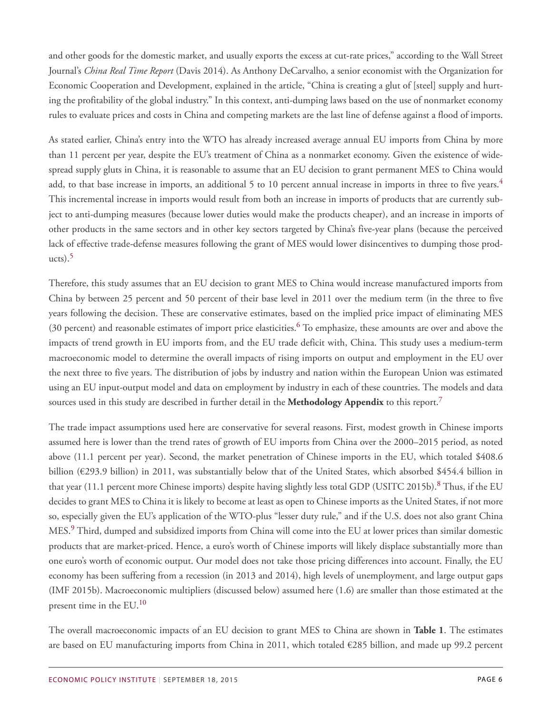and other goods for the domestic market, and usually exports the excess at cut-rate prices," according to the Wall Street Journal's *China Real Time Report* (Davis 2014). As Anthony DeCarvalho, a senior economist with the Organization for Economic Cooperation and Development, explained in the article, "China is creating a glut of [steel] supply and hurting the profitability of the global industry." In this context, anti-dumping laws based on the use of nonmarket economy rules to evaluate prices and costs in China and competing markets are the last line of defense against a flood of imports.

<span id="page-5-0"></span>As stated earlier, China's entry into the WTO has already increased average annual EU imports from China by more than 11 percent per year, despite the EU's treatment of China as a nonmarket economy. Given the existence of widespread supply gluts in China, it is reasonable to assume that an EU decision to grant permanent MES to China would add, to that base increase in imports, an additional 5 to 10 percent annual increase in imports in three to five years.<sup>[4](#page-14-3)</sup> This incremental increase in imports would result from both an increase in imports of products that are currently subject to anti-dumping measures (because lower duties would make the products cheaper), and an increase in imports of other products in the same sectors and in other key sectors targeted by China's five-year plans (because the perceived lack of effective trade-defense measures following the grant of MES would lower disincentives to dumping those prod $ucts$ ).<sup>[5](#page-14-4)</sup>

<span id="page-5-2"></span><span id="page-5-1"></span>Therefore, this study assumes that an EU decision to grant MES to China would increase manufactured imports from China by between 25 percent and 50 percent of their base level in 2011 over the medium term (in the three to five years following the decision. These are conservative estimates, based on the implied price impact of eliminating MES (30 percent) and reasonable estimates of import price elasticities.[6](#page-14-5) To emphasize, these amounts are over and above the impacts of trend growth in EU imports from, and the EU trade deficit with, China. This study uses a medium-term macroeconomic model to determine the overall impacts of rising imports on output and employment in the EU over the next three to five years. The distribution of jobs by industry and nation within the European Union was estimated using an EU input-output model and data on employment by industry in each of these countries. The models and data sources used in this study are described in further detail in the **Methodology Appendix** to this report.[7](#page-14-6)

<span id="page-5-5"></span><span id="page-5-4"></span><span id="page-5-3"></span>The trade impact assumptions used here are conservative for several reasons. First, modest growth in Chinese imports assumed here is lower than the trend rates of growth of EU imports from China over the 2000–2015 period, as noted above (11.1 percent per year). Second, the market penetration of Chinese imports in the EU, which totaled \$408.6 billion (€293.9 billion) in 2011, was substantially below that of the United States, which absorbed \$454.4 billion in that year (11.1 percent more Chinese imports) despite having slightly less total GDP (USITC 2015b).<sup>[8](#page-14-7)</sup> Thus, if the EU decides to grant MES to China it is likely to become at least as open to Chinese imports as the United States, if not more so, especially given the EU's application of the WTO-plus "lesser duty rule," and if the U.S. does not also grant China MES.[9](#page-14-8) Third, dumped and subsidized imports from China will come into the EU at lower prices than similar domestic products that are market-priced. Hence, a euro's worth of Chinese imports will likely displace substantially more than one euro's worth of economic output. Our model does not take those pricing differences into account. Finally, the EU economy has been suffering from a recession (in 2013 and 2014), high levels of unemployment, and large output gaps (IMF 2015b). Macroeconomic multipliers (discussed below) assumed here (1.6) are smaller than those estimated at the present time in the EU.<sup>[10](#page-14-9)</sup>

<span id="page-5-6"></span>The overall macroeconomic impacts of an EU decision to grant MES to China are shown in **Table 1**. The estimates are based on EU manufacturing imports from China in 2011, which totaled €285 billion, and made up 99.2 percent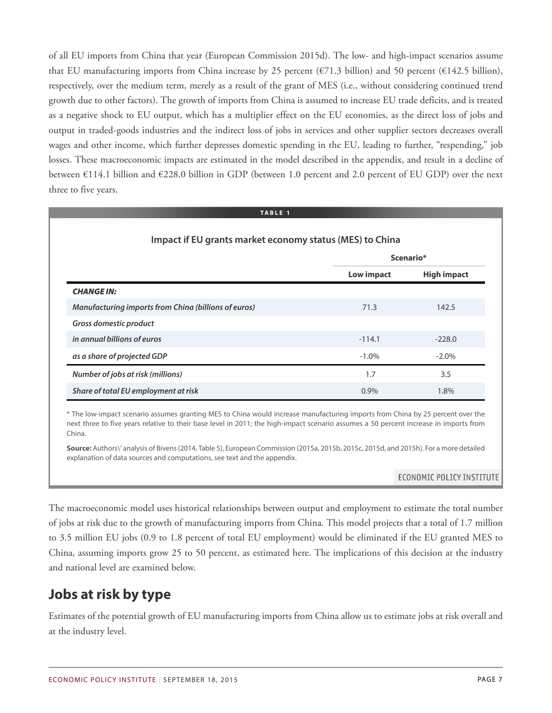of all EU imports from China that year (European Commission 2015d). The low- and high-impact scenarios assume that EU manufacturing imports from China increase by 25 percent ( $\epsilon$ 71.3 billion) and 50 percent ( $\epsilon$ 142.5 billion), respectively, over the medium term, merely as a result of the grant of MES (i.e., without considering continued trend growth due to other factors). The growth of imports from China is assumed to increase EU trade deficits, and is treated as a negative shock to EU output, which has a multiplier effect on the EU economies, as the direct loss of jobs and output in traded-goods industries and the indirect loss of jobs in services and other supplier sectors decreases overall wages and other income, which further depresses domestic spending in the EU, leading to further, "respending," job losses. These macroeconomic impacts are estimated in the model described in the appendix, and result in a decline of between €114.1 billion and €228.0 billion in GDP (between 1.0 percent and 2.0 percent of EU GDP) over the next three to five years.

#### **TABLE 1**

| Impact if EU grants market economy status (MES) to China |            |                    |  |  |  |  |
|----------------------------------------------------------|------------|--------------------|--|--|--|--|
|                                                          |            | Scenario*          |  |  |  |  |
|                                                          | Low impact | <b>High impact</b> |  |  |  |  |
| <b>CHANGE IN:</b>                                        |            |                    |  |  |  |  |
| Manufacturing imports from China (billions of euros)     | 71.3       | 142.5              |  |  |  |  |
| Gross domestic product                                   |            |                    |  |  |  |  |
| in annual billions of euros                              | $-114.1$   | $-228.0$           |  |  |  |  |
| as a share of projected GDP                              | $-1.0\%$   | $-2.0%$            |  |  |  |  |
| Number of jobs at risk (millions)                        | 1.7        | 3.5                |  |  |  |  |
| Share of total EU employment at risk                     | $0.9\%$    | 1.8%               |  |  |  |  |

\* The low-impact scenario assumes granting MES to China would increase manufacturing imports from China by 25 percent over the next three to five years relative to their base level in 2011; the high-impact scenario assumes a 50 percent increase in imports from China.

**Source:** Authors\' analysis of Bivens(2014, Table 5), European Commission (2015a, 2015b, 2015c, 2015d, and 2015h). For a more detailed explanation of data sources and computations, see text and the appendix.

#### ECONOMIC POLICY INSTITUTE

The macroeconomic model uses historical relationships between output and employment to estimate the total number of jobs at risk due to the growth of manufacturing imports from China. This model projects that a total of 1.7 million to 3.5 million EU jobs (0.9 to 1.8 percent of total EU employment) would be eliminated if the EU granted MES to China, assuming imports grow 25 to 50 percent, as estimated here. The implications of this decision at the industry and national level are examined below.

### **Jobs at risk by type**

Estimates of the potential growth of EU manufacturing imports from China allow us to estimate jobs at risk overall and at the industry level.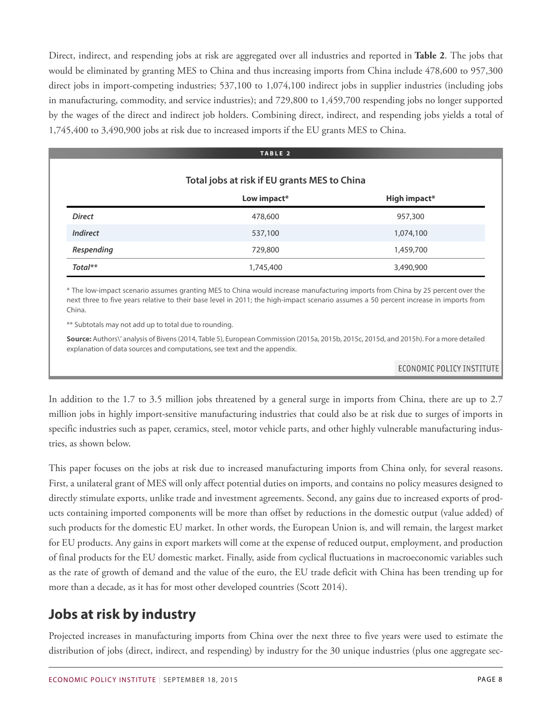Direct, indirect, and respending jobs at risk are aggregated over all industries and reported in **Table 2**. The jobs that would be eliminated by granting MES to China and thus increasing imports from China include 478,600 to 957,300 direct jobs in import-competing industries; 537,100 to 1,074,100 indirect jobs in supplier industries (including jobs in manufacturing, commodity, and service industries); and 729,800 to 1,459,700 respending jobs no longer supported by the wages of the direct and indirect job holders. Combining direct, indirect, and respending jobs yields a total of 1,745,400 to 3,490,900 jobs at risk due to increased imports if the EU grants MES to China.

|                                              | TABLE <sub>2</sub> |              |  |  |
|----------------------------------------------|--------------------|--------------|--|--|
| Total jobs at risk if EU grants MES to China |                    |              |  |  |
|                                              | Low impact*        | High impact* |  |  |
| <b>Direct</b>                                | 478,600            | 957,300      |  |  |
| <b>Indirect</b>                              | 537,100            | 1,074,100    |  |  |
| Respending                                   | 729,800            | 1,459,700    |  |  |
| $Total**$                                    | 1,745,400          | 3,490,900    |  |  |

\* The low-impact scenario assumes granting MES to China would increase manufacturing imports from China by 25 percent over the next three to five years relative to their base level in 2011; the high-impact scenario assumes a 50 percent increase in imports from China.

\*\* Subtotals may not add up to total due to rounding.

**Source:** Authors\' analysis of Bivens(2014, Table 5), European Commission (2015a, 2015b, 2015c, 2015d, and 2015h). For a more detailed explanation of data sources and computations, see text and the appendix.

ECONOMIC POLICY INSTITUTE

In addition to the 1.7 to 3.5 million jobs threatened by a general surge in imports from China, there are up to 2.7 million jobs in highly import-sensitive manufacturing industries that could also be at risk due to surges of imports in specific industries such as paper, ceramics, steel, motor vehicle parts, and other highly vulnerable manufacturing industries, as shown below.

This paper focuses on the jobs at risk due to increased manufacturing imports from China only, for several reasons. First, a unilateral grant of MES will only affect potential duties on imports, and contains no policy measures designed to directly stimulate exports, unlike trade and investment agreements. Second, any gains due to increased exports of products containing imported components will be more than offset by reductions in the domestic output (value added) of such products for the domestic EU market. In other words, the European Union is, and will remain, the largest market for EU products. Any gains in export markets will come at the expense of reduced output, employment, and production of final products for the EU domestic market. Finally, aside from cyclical fluctuations in macroeconomic variables such as the rate of growth of demand and the value of the euro, the EU trade deficit with China has been trending up for more than a decade, as it has for most other developed countries (Scott 2014).

### **Jobs at risk by industry**

Projected increases in manufacturing imports from China over the next three to five years were used to estimate the distribution of jobs (direct, indirect, and respending) by industry for the 30 unique industries (plus one aggregate sec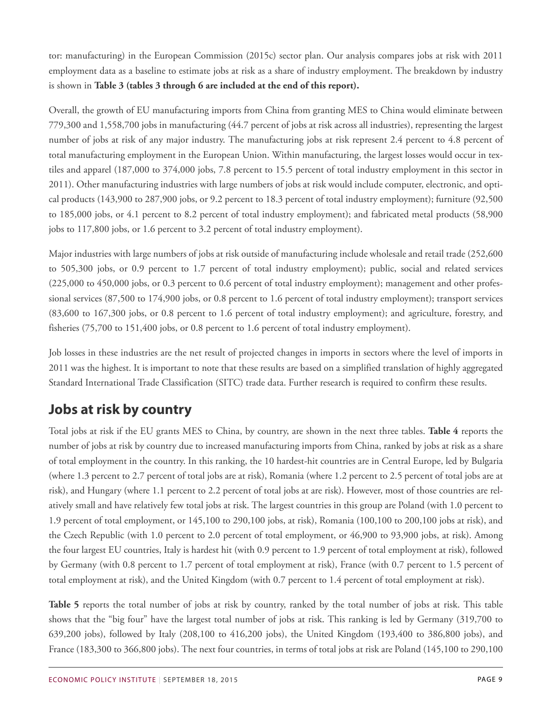tor: manufacturing) in the European Commission (2015c) sector plan. Our analysis compares jobs at risk with 2011 employment data as a baseline to estimate jobs at risk as a share of industry employment. The breakdown by industry is shown in **Table 3 (tables 3 through 6 are included at the end of this report).**

Overall, the growth of EU manufacturing imports from China from granting MES to China would eliminate between 779,300 and 1,558,700 jobs in manufacturing (44.7 percent of jobs at risk across all industries), representing the largest number of jobs at risk of any major industry. The manufacturing jobs at risk represent 2.4 percent to 4.8 percent of total manufacturing employment in the European Union. Within manufacturing, the largest losses would occur in textiles and apparel (187,000 to 374,000 jobs, 7.8 percent to 15.5 percent of total industry employment in this sector in 2011). Other manufacturing industries with large numbers of jobs at risk would include computer, electronic, and optical products (143,900 to 287,900 jobs, or 9.2 percent to 18.3 percent of total industry employment); furniture (92,500 to 185,000 jobs, or 4.1 percent to 8.2 percent of total industry employment); and fabricated metal products (58,900 jobs to 117,800 jobs, or 1.6 percent to 3.2 percent of total industry employment).

Major industries with large numbers of jobs at risk outside of manufacturing include wholesale and retail trade (252,600 to 505,300 jobs, or 0.9 percent to 1.7 percent of total industry employment); public, social and related services (225,000 to 450,000 jobs, or 0.3 percent to 0.6 percent of total industry employment); management and other professional services (87,500 to 174,900 jobs, or 0.8 percent to 1.6 percent of total industry employment); transport services (83,600 to 167,300 jobs, or 0.8 percent to 1.6 percent of total industry employment); and agriculture, forestry, and fisheries (75,700 to 151,400 jobs, or 0.8 percent to 1.6 percent of total industry employment).

Job losses in these industries are the net result of projected changes in imports in sectors where the level of imports in 2011 was the highest. It is important to note that these results are based on a simplified translation of highly aggregated Standard International Trade Classification (SITC) trade data. Further research is required to confirm these results.

### **Jobs at risk by country**

Total jobs at risk if the EU grants MES to China, by country, are shown in the next three tables. **Table 4** reports the number of jobs at risk by country due to increased manufacturing imports from China, ranked by jobs at risk as a share of total employment in the country. In this ranking, the 10 hardest-hit countries are in Central Europe, led by Bulgaria (where 1.3 percent to 2.7 percent of total jobs are at risk), Romania (where 1.2 percent to 2.5 percent of total jobs are at risk), and Hungary (where 1.1 percent to 2.2 percent of total jobs at are risk). However, most of those countries are relatively small and have relatively few total jobs at risk. The largest countries in this group are Poland (with 1.0 percent to 1.9 percent of total employment, or 145,100 to 290,100 jobs, at risk), Romania (100,100 to 200,100 jobs at risk), and the Czech Republic (with 1.0 percent to 2.0 percent of total employment, or 46,900 to 93,900 jobs, at risk). Among the four largest EU countries, Italy is hardest hit (with 0.9 percent to 1.9 percent of total employment at risk), followed by Germany (with 0.8 percent to 1.7 percent of total employment at risk), France (with 0.7 percent to 1.5 percent of total employment at risk), and the United Kingdom (with 0.7 percent to 1.4 percent of total employment at risk).

**Table 5** reports the total number of jobs at risk by country, ranked by the total number of jobs at risk. This table shows that the "big four" have the largest total number of jobs at risk. This ranking is led by Germany (319,700 to 639,200 jobs), followed by Italy (208,100 to 416,200 jobs), the United Kingdom (193,400 to 386,800 jobs), and France (183,300 to 366,800 jobs). The next four countries, in terms of total jobs at risk are Poland (145,100 to 290,100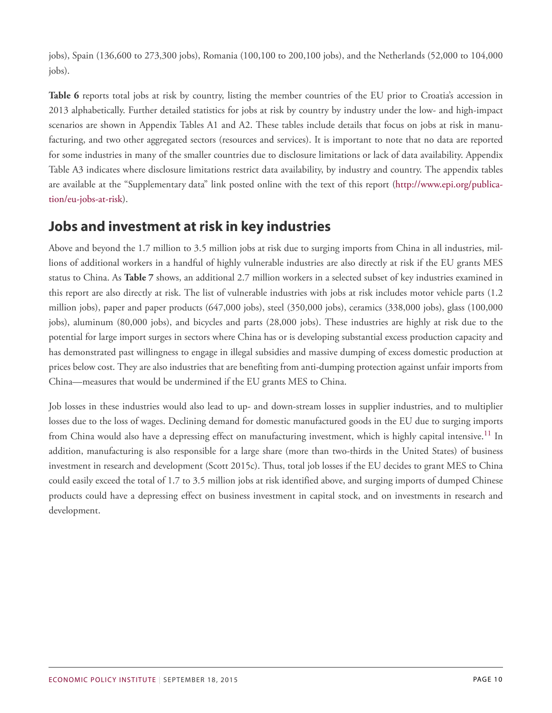jobs), Spain (136,600 to 273,300 jobs), Romania (100,100 to 200,100 jobs), and the Netherlands (52,000 to 104,000 jobs).

**Table 6** reports total jobs at risk by country, listing the member countries of the EU prior to Croatia's accession in 2013 alphabetically. Further detailed statistics for jobs at risk by country by industry under the low- and high-impact scenarios are shown in Appendix Tables A1 and A2. These tables include details that focus on jobs at risk in manufacturing, and two other aggregated sectors (resources and services). It is important to note that no data are reported for some industries in many of the smaller countries due to disclosure limitations or lack of data availability. Appendix Table A3 indicates where disclosure limitations restrict data availability, by industry and country. The appendix tables are available at the "Supplementary data" link posted online with the text of this report ([http://www.epi.org/publica](http://www.epi.org/publication/eu-jobs-at-risk)[tion/eu-jobs-at-risk\)](http://www.epi.org/publication/eu-jobs-at-risk).

### **Jobs and investment at risk in key industries**

Above and beyond the 1.7 million to 3.5 million jobs at risk due to surging imports from China in all industries, millions of additional workers in a handful of highly vulnerable industries are also directly at risk if the EU grants MES status to China. As **Table 7** shows, an additional 2.7 million workers in a selected subset of key industries examined in this report are also directly at risk. The list of vulnerable industries with jobs at risk includes motor vehicle parts (1.2 million jobs), paper and paper products (647,000 jobs), steel (350,000 jobs), ceramics (338,000 jobs), glass (100,000 jobs), aluminum (80,000 jobs), and bicycles and parts (28,000 jobs). These industries are highly at risk due to the potential for large import surges in sectors where China has or is developing substantial excess production capacity and has demonstrated past willingness to engage in illegal subsidies and massive dumping of excess domestic production at prices below cost. They are also industries that are benefiting from anti-dumping protection against unfair imports from China—measures that would be undermined if the EU grants MES to China.

<span id="page-9-0"></span>Job losses in these industries would also lead to up- and down-stream losses in supplier industries, and to multiplier losses due to the loss of wages. Declining demand for domestic manufactured goods in the EU due to surging imports from China would also have a depressing effect on manufacturing investment, which is highly capital intensive.<sup>[11](#page-14-10)</sup> In addition, manufacturing is also responsible for a large share (more than two-thirds in the United States) of business investment in research and development (Scott 2015c). Thus, total job losses if the EU decides to grant MES to China could easily exceed the total of 1.7 to 3.5 million jobs at risk identified above, and surging imports of dumped Chinese products could have a depressing effect on business investment in capital stock, and on investments in research and development.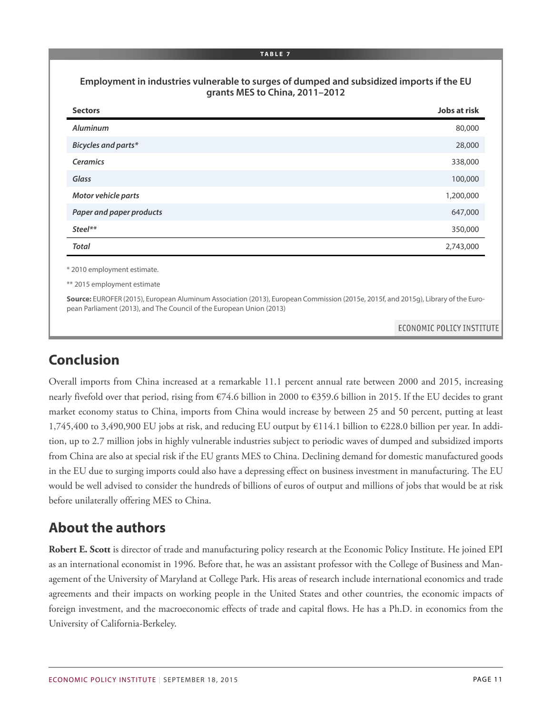#### **Employment in industries vulnerable to surges of dumped and subsidized imports if the EU grants MES to China, 2011–2012**

| <b>Sectors</b>                                                                                                                                                                                            | <b>Jobs at risk</b>       |
|-----------------------------------------------------------------------------------------------------------------------------------------------------------------------------------------------------------|---------------------------|
| <b>Aluminum</b>                                                                                                                                                                                           | 80,000                    |
| <b>Bicycles and parts*</b>                                                                                                                                                                                | 28,000                    |
| <b>Ceramics</b>                                                                                                                                                                                           | 338,000                   |
| Glass                                                                                                                                                                                                     | 100,000                   |
| Motor vehicle parts                                                                                                                                                                                       | 1,200,000                 |
| Paper and paper products                                                                                                                                                                                  | 647,000                   |
| $Steel**$                                                                                                                                                                                                 | 350,000                   |
| <b>Total</b>                                                                                                                                                                                              | 2,743,000                 |
| * 2010 employment estimate.                                                                                                                                                                               |                           |
| ** 2015 employment estimate                                                                                                                                                                               |                           |
| Source: EUROFER (2015), European Aluminum Association (2013), European Commission (2015e, 2015f, and 2015g), Library of the Euro-<br>pean Parliament (2013), and The Council of the European Union (2013) |                           |
|                                                                                                                                                                                                           | ECONOMIC POLICY INSTITUTE |

### **Conclusion**

Overall imports from China increased at a remarkable 11.1 percent annual rate between 2000 and 2015, increasing nearly fivefold over that period, rising from €74.6 billion in 2000 to €359.6 billion in 2015. If the EU decides to grant market economy status to China, imports from China would increase by between 25 and 50 percent, putting at least 1,745,400 to 3,490,900 EU jobs at risk, and reducing EU output by €114.1 billion to €228.0 billion per year. In addition, up to 2.7 million jobs in highly vulnerable industries subject to periodic waves of dumped and subsidized imports from China are also at special risk if the EU grants MES to China. Declining demand for domestic manufactured goods in the EU due to surging imports could also have a depressing effect on business investment in manufacturing. The EU would be well advised to consider the hundreds of billions of euros of output and millions of jobs that would be at risk before unilaterally offering MES to China.

### **About the authors**

**Robert E. Scott** is director of trade and manufacturing policy research at the Economic Policy Institute. He joined EPI as an international economist in 1996. Before that, he was an assistant professor with the College of Business and Management of the University of Maryland at College Park. His areas of research include international economics and trade agreements and their impacts on working people in the United States and other countries, the economic impacts of foreign investment, and the macroeconomic effects of trade and capital flows. He has a Ph.D. in economics from the University of California-Berkeley.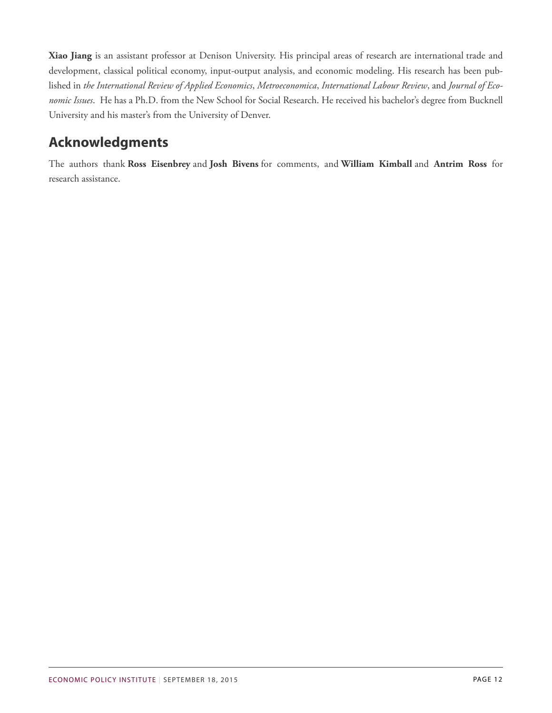**Xiao Jiang** is an assistant professor at Denison University. His principal areas of research are international trade and development, classical political economy, input-output analysis, and economic modeling. His research has been published in *the International Review of Applied Economics*, *Metroeconomica*, *International Labour Review*, and *Journal of Economic Issues*. He has a Ph.D. from the New School for Social Research. He received his bachelor's degree from Bucknell University and his master's from the University of Denver.

### **Acknowledgments**

The authors thank **Ross Eisenbrey** and **Josh Bivens** for comments, and **William Kimball** and **Antrim Ross** for research assistance.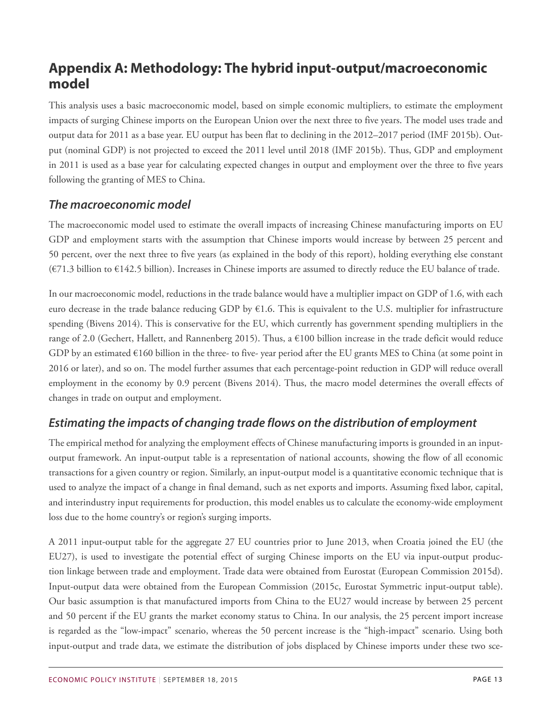### **Appendix A: Methodology: The hybrid input-output/macroeconomic model**

This analysis uses a basic macroeconomic model, based on simple economic multipliers, to estimate the employment impacts of surging Chinese imports on the European Union over the next three to five years. The model uses trade and output data for 2011 as a base year. EU output has been flat to declining in the 2012–2017 period (IMF 2015b). Output (nominal GDP) is not projected to exceed the 2011 level until 2018 (IMF 2015b). Thus, GDP and employment in 2011 is used as a base year for calculating expected changes in output and employment over the three to five years following the granting of MES to China.

#### *The macroeconomic model*

The macroeconomic model used to estimate the overall impacts of increasing Chinese manufacturing imports on EU GDP and employment starts with the assumption that Chinese imports would increase by between 25 percent and 50 percent, over the next three to five years (as explained in the body of this report), holding everything else constant (€71.3 billion to €142.5 billion). Increases in Chinese imports are assumed to directly reduce the EU balance of trade.

In our macroeconomic model, reductions in the trade balance would have a multiplier impact on GDP of 1.6, with each euro decrease in the trade balance reducing GDP by  $E1.6$ . This is equivalent to the U.S. multiplier for infrastructure spending (Bivens 2014). This is conservative for the EU, which currently has government spending multipliers in the range of 2.0 (Gechert, Hallett, and Rannenberg 2015). Thus, a  $\epsilon$ 100 billion increase in the trade deficit would reduce GDP by an estimated  $\epsilon$ 160 billion in the three- to five-year period after the EU grants MES to China (at some point in 2016 or later), and so on. The model further assumes that each percentage-point reduction in GDP will reduce overall employment in the economy by 0.9 percent (Bivens 2014). Thus, the macro model determines the overall effects of changes in trade on output and employment.

### *Estimating the impacts of changing trade flows on the distribution of employment*

The empirical method for analyzing the employment effects of Chinese manufacturing imports is grounded in an inputoutput framework. An input-output table is a representation of national accounts, showing the flow of all economic transactions for a given country or region. Similarly, an input-output model is a quantitative economic technique that is used to analyze the impact of a change in final demand, such as net exports and imports. Assuming fixed labor, capital, and interindustry input requirements for production, this model enables us to calculate the economy-wide employment loss due to the home country's or region's surging imports.

A 2011 input-output table for the aggregate 27 EU countries prior to June 2013, when Croatia joined the EU (the EU27), is used to investigate the potential effect of surging Chinese imports on the EU via input-output production linkage between trade and employment. Trade data were obtained from Eurostat (European Commission 2015d). Input-output data were obtained from the European Commission (2015c, Eurostat Symmetric input-output table). Our basic assumption is that manufactured imports from China to the EU27 would increase by between 25 percent and 50 percent if the EU grants the market economy status to China. In our analysis, the 25 percent import increase is regarded as the "low-impact" scenario, whereas the 50 percent increase is the "high-impact" scenario. Using both input-output and trade data, we estimate the distribution of jobs displaced by Chinese imports under these two sce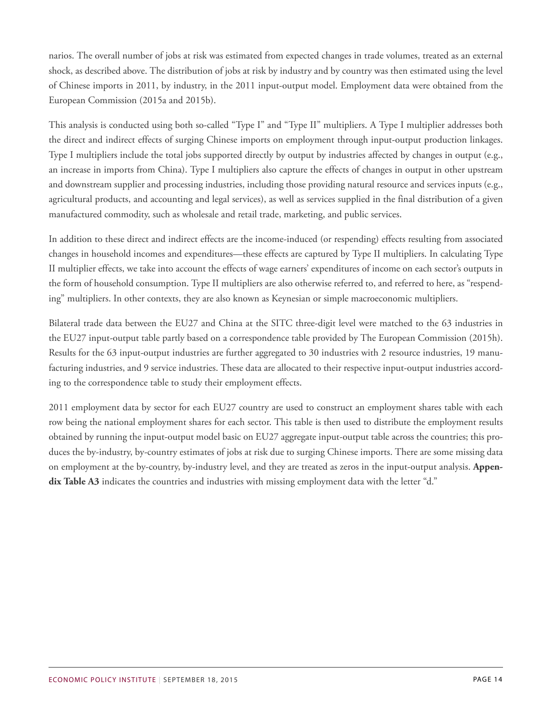narios. The overall number of jobs at risk was estimated from expected changes in trade volumes, treated as an external shock, as described above. The distribution of jobs at risk by industry and by country was then estimated using the level of Chinese imports in 2011, by industry, in the 2011 input-output model. Employment data were obtained from the European Commission (2015a and 2015b).

This analysis is conducted using both so-called "Type I" and "Type II" multipliers. A Type I multiplier addresses both the direct and indirect effects of surging Chinese imports on employment through input-output production linkages. Type I multipliers include the total jobs supported directly by output by industries affected by changes in output (e.g., an increase in imports from China). Type I multipliers also capture the effects of changes in output in other upstream and downstream supplier and processing industries, including those providing natural resource and services inputs (e.g., agricultural products, and accounting and legal services), as well as services supplied in the final distribution of a given manufactured commodity, such as wholesale and retail trade, marketing, and public services.

In addition to these direct and indirect effects are the income-induced (or respending) effects resulting from associated changes in household incomes and expenditures—these effects are captured by Type II multipliers. In calculating Type II multiplier effects, we take into account the effects of wage earners' expenditures of income on each sector's outputs in the form of household consumption. Type II multipliers are also otherwise referred to, and referred to here, as "respending" multipliers. In other contexts, they are also known as Keynesian or simple macroeconomic multipliers.

Bilateral trade data between the EU27 and China at the SITC three-digit level were matched to the 63 industries in the EU27 input-output table partly based on a correspondence table provided by The European Commission (2015h). Results for the 63 input-output industries are further aggregated to 30 industries with 2 resource industries, 19 manufacturing industries, and 9 service industries. These data are allocated to their respective input-output industries according to the correspondence table to study their employment effects.

2011 employment data by sector for each EU27 country are used to construct an employment shares table with each row being the national employment shares for each sector. This table is then used to distribute the employment results obtained by running the input-output model basic on EU27 aggregate input-output table across the countries; this produces the by-industry, by-country estimates of jobs at risk due to surging Chinese imports. There are some missing data on employment at the by-country, by-industry level, and they are treated as zeros in the input-output analysis. **Appendix Table A3** indicates the countries and industries with missing employment data with the letter "d."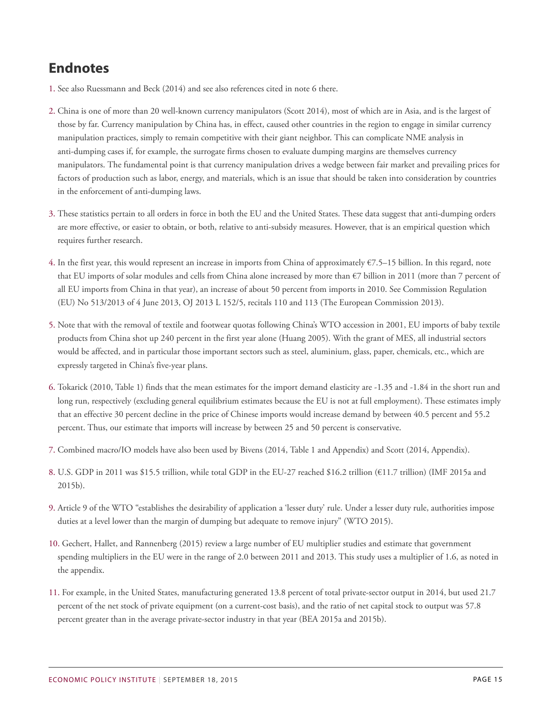### **Endnotes**

- <span id="page-14-0"></span>[1.](#page-2-0) See also Ruessmann and Beck (2014) and see also references cited in note 6 there.
- <span id="page-14-1"></span>[2.](#page-3-0) China is one of more than 20 well-known currency manipulators (Scott 2014), most of which are in Asia, and is the largest of those by far. Currency manipulation by China has, in effect, caused other countries in the region to engage in similar currency manipulation practices, simply to remain competitive with their giant neighbor. This can complicate NME analysis in anti-dumping cases if, for example, the surrogate firms chosen to evaluate dumping margins are themselves currency manipulators. The fundamental point is that currency manipulation drives a wedge between fair market and prevailing prices for factors of production such as labor, energy, and materials, which is an issue that should be taken into consideration by countries in the enforcement of anti-dumping laws.
- <span id="page-14-2"></span>[3.](#page-3-1) These statistics pertain to all orders in force in both the EU and the United States. These data suggest that anti-dumping orders are more effective, or easier to obtain, or both, relative to anti-subsidy measures. However, that is an empirical question which requires further research.
- <span id="page-14-3"></span>[4.](#page-5-0) In the first year, this would represent an increase in imports from China of approximately €7.5–15 billion. In this regard, note that EU imports of solar modules and cells from China alone increased by more than €7 billion in 2011 (more than 7 percent of all EU imports from China in that year), an increase of about 50 percent from imports in 2010. See Commission Regulation (EU) No 513/2013 of 4 June 2013, OJ 2013 L 152/5, recitals 110 and 113 (The European Commission 2013).
- <span id="page-14-4"></span>[5.](#page-5-1) Note that with the removal of textile and footwear quotas following China's WTO accession in 2001, EU imports of baby textile products from China shot up 240 percent in the first year alone (Huang 2005). With the grant of MES, all industrial sectors would be affected, and in particular those important sectors such as steel, aluminium, glass, paper, chemicals, etc., which are expressly targeted in China's five-year plans.
- <span id="page-14-5"></span>[6.](#page-5-2) Tokarick (2010, Table 1) finds that the mean estimates for the import demand elasticity are -1.35 and -1.84 in the short run and long run, respectively (excluding general equilibrium estimates because the EU is not at full employment). These estimates imply that an effective 30 percent decline in the price of Chinese imports would increase demand by between 40.5 percent and 55.2 percent. Thus, our estimate that imports will increase by between 25 and 50 percent is conservative.
- <span id="page-14-6"></span>[7.](#page-5-3) Combined macro/IO models have also been used by Bivens (2014, Table 1 and Appendix) and Scott (2014, Appendix).
- <span id="page-14-7"></span>[8.](#page-5-4) U.S. GDP in 2011 was \$15.5 trillion, while total GDP in the EU-27 reached \$16.2 trillion (€11.7 trillion) (IMF 2015a and 2015b).
- <span id="page-14-8"></span>[9.](#page-5-5) Article 9 of the WTO "establishes the desirability of application a 'lesser duty' rule. Under a lesser duty rule, authorities impose duties at a level lower than the margin of dumping but adequate to remove injury" (WTO 2015).
- <span id="page-14-9"></span>[10.](#page-5-6) Gechert, Hallet, and Rannenberg (2015) review a large number of EU multiplier studies and estimate that government spending multipliers in the EU were in the range of 2.0 between 2011 and 2013. This study uses a multiplier of 1.6, as noted in the appendix.
- <span id="page-14-10"></span>[11.](#page-9-0) For example, in the United States, manufacturing generated 13.8 percent of total private-sector output in 2014, but used 21.7 percent of the net stock of private equipment (on a current-cost basis), and the ratio of net capital stock to output was 57.8 percent greater than in the average private-sector industry in that year (BEA 2015a and 2015b).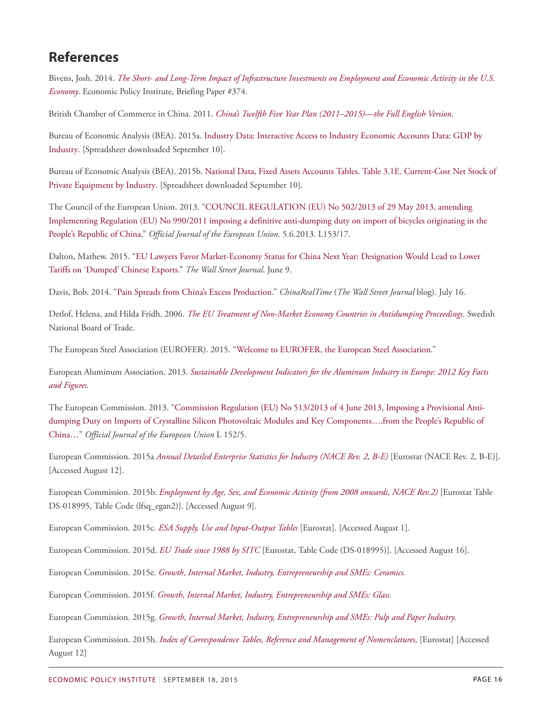### **References**

Bivens, Josh. 2014. *[The Short- and Long-Term Impact of Infrastructure Investments on Employment and Economic Activity in the U.S.](http://www.epi.org/publication/impact-of-infrastructure-investments/) [Economy](http://www.epi.org/publication/impact-of-infrastructure-investments/)*. Economic Policy Institute, Briefing Paper #374.

British Chamber of Commerce in China. 2011. *[China's Twelfth Five Year Plan \(2011–2015\)—the Full English Version](http://www.britishchamber.cn/content/chinas-twelfth-five-year-plan-2011-2015-full-english-version)*.

Bureau of Economic Analysis (BEA). 2015a. [Industry Data: Interactive Access to Industry Economic Accounts Data: GDP by](http://bea.gov/iTable/iTable.cfm?ReqID=51&step=1#reqid=51&step=3&isuri=1&5102=1) [Industry.](http://bea.gov/iTable/iTable.cfm?ReqID=51&step=1#reqid=51&step=3&isuri=1&5102=1) [Spreadsheet downloaded September 10].

Bureau of Economic Analysis (BEA). 2015b. [National Data, Fixed Assets Accounts Tables. Table 3.1E. Current-Cost Net Stock of](http://bea.gov/iTable/iTable.cfm?ReqID=10&step=1#reqid=10&step=3&isuri=1&1003=21) [Private Equipment by Industry.](http://bea.gov/iTable/iTable.cfm?ReqID=10&step=1#reqid=10&step=3&isuri=1&1003=21) [Spreadsheet downloaded September 10].

The Council of the European Union. 2013. "[COUNCIL REGULATION \(EU\) No 502/2013 of 29 May 2013, amending](http://eur-lex.europa.eu/LexUriServ/LexUriServ.do?uri=OJ:L:2013:153:0017:0047:EN:PDF) [Implementing Regulation \(EU\) No 990/2011 imposing a definitive anti-dumping duty on import of bicycles originating in the](http://eur-lex.europa.eu/LexUriServ/LexUriServ.do?uri=OJ:L:2013:153:0017:0047:EN:PDF) [People's Republic of China](http://eur-lex.europa.eu/LexUriServ/LexUriServ.do?uri=OJ:L:2013:153:0017:0047:EN:PDF)." *Official Journal of the European Union*. 5.6.2013. L153/17.

Dalton, Mathew. 2015. "[EU Lawyers Favor Market-Economy Status for China Next Year: Designation Would Lead to Lower](http://www.wsj.com/articles/eu-lawyers-favor-market-economy-status-for-china-next-year-1433873355) [Tariffs on 'Dumped' Chinese Exports](http://www.wsj.com/articles/eu-lawyers-favor-market-economy-status-for-china-next-year-1433873355)." *The Wall Street Journal*. June 9.

Davis, Bob. 2014. "[Pain Spreads from China's Excess Production](http://blogs.wsj.com/chinarealtime/2014/07/16/pain-spreads-from-chinas-excess-production/)." *ChinaRealTime* (*The Wall Street Journal* blog). July 16.

Detlof, Helena, and Hilda Fridh. 2006. *[The EU Treatment of Non-Market Economy Countries in Antidumping Proceedings](http://www.kommers.se/upload/Analysarkiv/Arbetsomr%E5den/Antidumpning/Antidumpning%20-%20huvudsida/The_EU_Treatment_of_Non-market_Economy_countries_in_antidumpingproceedings.pdf)*. Swedish National Board of Trade.

The European Steel Association (EUROFER). 2015. ["Welcome to EUROFER, the European Steel Association.](http://www.eurofer.be/About%20us/Eurofer%20Portrait.fhtml)"

European Aluminum Association. 2013. *[Sustainable Development Indicators for the Aluminum Industry in Europe: 2012 Key Facts](http://www.european-aluminium.eu/wp-content/uploads/2011/09/EAA-sustainabilty-leaflet_optimal_site_January2014.pdf) [and Figures](http://www.european-aluminium.eu/wp-content/uploads/2011/09/EAA-sustainabilty-leaflet_optimal_site_January2014.pdf).*

The European Commission. 2013. "[Commission Regulation \(EU\) No 513/2013 of 4 June 2013, Imposing a Provisional Anti](http://eur-lex.europa.eu/LexUriServ/LexUriServ.do?uri=OJ:L:2013:152:0005:0047:en:PDF)[dumping Duty on Imports of Crystalline Silicon Photovoltaic Modules and Key Components….from the People's Republic of](http://eur-lex.europa.eu/LexUriServ/LexUriServ.do?uri=OJ:L:2013:152:0005:0047:en:PDF) [China…"](http://eur-lex.europa.eu/LexUriServ/LexUriServ.do?uri=OJ:L:2013:152:0005:0047:en:PDF) *Official Journal of the European Union* L 152/5.

European Commission. 2015a *[Annual Detailed Enterprise Statistics for Industry \(NACE Rev. 2, B-E\)](http://appsso.eurostat.ec.europa.eu/nui/show.do)* [Eurostat (NACE Rev. 2, B-E)]. [Accessed August 12].

European Commission. 2015b. *[Employment by Age, Sex, and Economic Activity \(from 2008 onwards, NACE Rev.2\)](http://ec.europa.eu/eurostat/web/lfs/data/database)* [Eurostat Table DS-018995, Table Code (lfsq\_egan2)]. [Accessed August 9].

European Commission. 2015c. *ESA Supply, [Use and Input-Output Tables](http://ec.europa.eu/eurostat/web/esa-supply-use-input-tables/data/workbooks)* [Eurostat]. [Accessed August 1].

European Commission. 2015d. *[EU Trade since 1988 by SITC](http://ec.europa.eu/eurostat/web/international-trade/data/database)* [Eurostat, Table Code (DS-018995)]. [Accessed August 16].

European Commission. 2015e. *[Growth, Internal Market, Industry, Entrepreneurship and SMEs: Ceramics.](http://ec.europa.eu/growth/sectors/raw-materials/industries/non-metals/ceramics/index_en.htm)*

European Commission. 2015f. *[Growth, Internal Market, Industry, Entrepreneurship and SMEs: Glass](http://ec.europa.eu/growth/sectors/raw-materials/industries/non-metals/glass/index_en.htm).*

European Commission. 2015g. *[Growth, Internal Market, Industry, Entrepreneurship and SMEs: Pulp and Paper Industry](http://ec.europa.eu/growth/sectors/raw-materials/industries/forest-based/pulp-paper/index_en.htm).*

European Commission. 2015h. *[Index of Correspondence Tables, Reference and Management of Nomenclatures](http://ec.europa.eu/eurostat/ramon/relations/index.cfm?TargetUrl=LST_REL)*, [Eurostat] [Accessed August 12]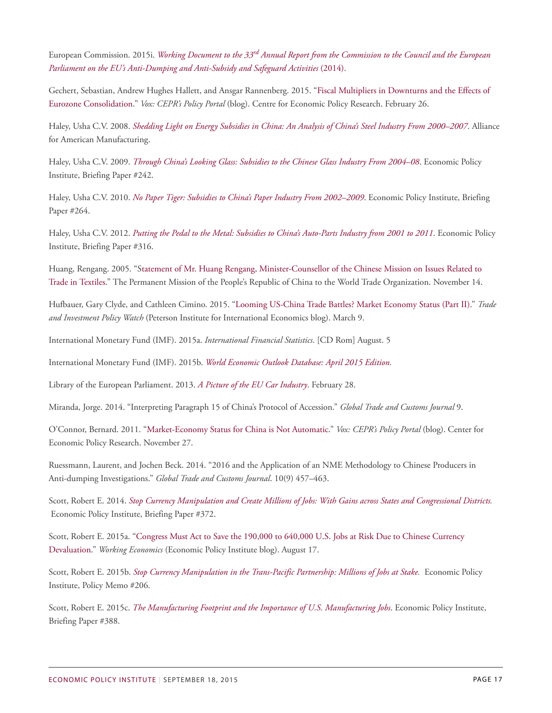European Commission. 2015i. *Working Document to the 33[rd](http://trade.ec.europa.eu/doclib/html/153702.htm) [Annual Report from the Commission to the Council and the European](http://trade.ec.europa.eu/doclib/html/153702.htm) [Parliament on the EU's Anti-Dumping and Anti-Subsidy and Safeguard Activities](http://trade.ec.europa.eu/doclib/html/153702.htm)* (2014).

Gechert, Sebastian, Andrew Hughes Hallett, and Ansgar Rannenberg. 2015. "[Fiscal Multipliers in Downturns and the Effects of](http://www.voxeu.org/article/fiscal-multipliers-and-eurozone-consolidation) [Eurozone Consolidation](http://www.voxeu.org/article/fiscal-multipliers-and-eurozone-consolidation)." *Vox: CEPR's Policy Portal* (blog). Centre for Economic Policy Research. February 26.

Haley, Usha C.V. 2008. *[Shedding Light on Energy Subsidies in China: An Analysis of China's Steel Industry From 2000–2007](http://www.americanmanufacturing.org/research/entry/shedding-light-on-energy-subsidies-in-china)*. Alliance for American Manufacturing.

Haley, Usha C.V. 2009. *[Through China's Looking Glass: Subsidies to the Chinese Glass Industry From 2004–08](http://www.epi.org/publication/bp242/)*. Economic Policy Institute, Briefing Paper #242.

Haley, Usha C.V. 2010. *[No Paper Tiger: Subsidies to China's Paper Industry From 2002–2009](http://www.epi.org/publication/no_paper_tiger/)*. Economic Policy Institute, Briefing Paper #264.

Haley, Usha C.V. 2012. *[Putting the Pedal to the Metal: Subsidies to China's Auto-Parts Industry from 2001 to 2011](http://www.epi.org/publication/bp316-china-auto-parts-industry/)*. Economic Policy Institute, Briefing Paper #316.

Huang, Rengang. 2005. "[Statement of Mr. Huang Rengang, Minister-Counsellor of the Chinese Mission on Issues Related to](http://wto2.mofcom.gov.cn/article/chinaviewpoins/200511/20051100781360.shtml) [Trade in Textiles.](http://wto2.mofcom.gov.cn/article/chinaviewpoins/200511/20051100781360.shtml)" The Permanent Mission of the People's Republic of China to the World Trade Organization. November 14.

Hufbauer, Gary Clyde, and Cathleen Cimino. 2015. ["Looming US-China Trade Battles? Market Economy Status \(Part II\)](http://blogs.piie.com/trade/?p=145)." *Trade and Investment Policy Watch* (Peterson Institute for International Economics blog). March 9.

International Monetary Fund (IMF). 2015a. *International Financial Statistics.* [CD Rom] August. 5

International Monetary Fund (IMF). 2015b. *[World Economic Outlook Database: April 2015 Edition](https://www.imf.org/external/pubs/ft/weo/2015/01/weodata/index.aspx).*

Library of the European Parliament. 2013. *[A Picture of the EU Car Industry](http://www.europarl.europa.eu/RegData/bibliotheque/briefing/2013/130469/LDM_BRI%282013%29130469_REV1_EN.pdf)*. February 28.

Miranda, Jorge. 2014. "Interpreting Paragraph 15 of China's Protocol of Accession." *Global Trade and Customs Journal* 9.

O'Connor, Bernard. 2011. "[Market-Economy Status for China is Not Automatic](http://www.voxeu.org/article/china-market-economy)." *Vox: CEPR's Policy Portal* (blog). Center for Economic Policy Research. November 27.

Ruessmann, Laurent, and Jochen Beck. 2014. "2016 and the Application of an NME Methodology to Chinese Producers in Anti-dumping Investigations." *Global Trade and Customs Journal*. 10(9) 457–463.

Scott, Robert E. 2014. *[Stop Currency Manipulation and Create Millions of Jobs: With Gains across States and Congressional Districts.](http://www.epi.org/publication/stop-currency-manipulation-and-create-millions-of-jobs/)* Economic Policy Institute, Briefing Paper #372.

Scott, Robert E. 2015a. "[Congress Must Act to Save the 190,000 to 640,000 U.S. Jobs at Risk Due to Chinese Currency](http://www.epi.org/blog/congress-must-act-on-chinese-currency-devaluation/) [Devaluation.](http://www.epi.org/blog/congress-must-act-on-chinese-currency-devaluation/)" *Working Economics* (Economic Policy Institute blog). August 17.

Scott, Robert E. 2015b. *[Stop Currency Manipulation in the Trans-Pacific Partnership: Millions of Jobs at Stake.](http://www.epi.org/publication/stop-currency-manipulation-in-the-trans-pacific-partnership-millions-of-jobs-at-stake/)* Economic Policy Institute, Policy Memo #206.

Scott, Robert E. 2015c. *[The Manufacturing Footprint and the Importance of U.S. Manufacturing Jobs](http://www.epi.org/publication/the-manufacturing-footprint-and-the-importance-of-u-s-manufacturing-jobs/)*. Economic Policy Institute, Briefing Paper #388.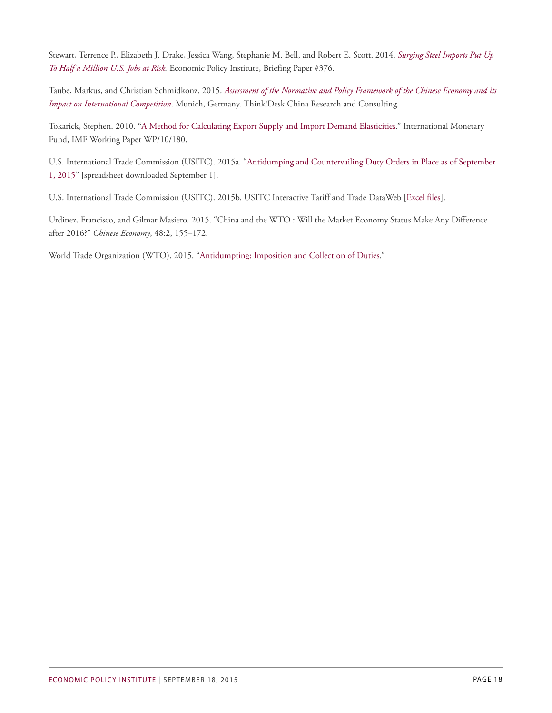Stewart, Terrence P., Elizabeth J. Drake, Jessica Wang, Stephanie M. Bell, and Robert E. Scott. 2014. *[Surging Steel Imports Put Up](http://www.epi.org/publication/surging-steel-imports/) [To Half a Million U.S. Jobs at Risk](http://www.epi.org/publication/surging-steel-imports/).* Economic Policy Institute, Briefing Paper #376.

Taube, Markus, and Christian Schmidkonz. 2015. *[Assessment of the Normative and Policy Framework of the Chinese Economy and its](http://www.euroalliages.com/data/1435252105MES%20China%20Study_Taube_Executive%20summary-25June15__F.pdf) [Impact on International Competition](http://www.euroalliages.com/data/1435252105MES%20China%20Study_Taube_Executive%20summary-25June15__F.pdf)*. Munich, Germany. Think!Desk China Research and Consulting.

Tokarick, Stephen. 2010. "[A Method for Calculating Export Supply and Import Demand Elasticities.](http://www.imf.org/external/pubs/ft/wp/2010/wp10180.pdf)" International Monetary Fund, IMF Working Paper WP/10/180.

U.S. International Trade Commission (USITC). 2015a. ["Antidumping and Countervailing Duty Orders in Place as of September](http://www.usitc.gov/sites/default/files/trade_remedy/documents/orders.xls) [1, 2015"](http://www.usitc.gov/sites/default/files/trade_remedy/documents/orders.xls) [spreadsheet downloaded September 1].

U.S. International Trade Commission (USITC). 2015b. USITC Interactive Tariff and Trade DataWeb [\[Excel files\]](http://dataweb.usitc.gov/scripts/user_set.asp).

Urdinez, Francisco, and Gilmar Masiero. 2015. "China and the WTO : Will the Market Economy Status Make Any Difference after 2016?" *Chinese Economy*, 48:2, 155–172.

World Trade Organization (WTO). 2015. "[Antidumpting: Imposition and Collection of Duties](https://www.wto.org/english/tratop_e/adp_e/antidum2_e.htm)."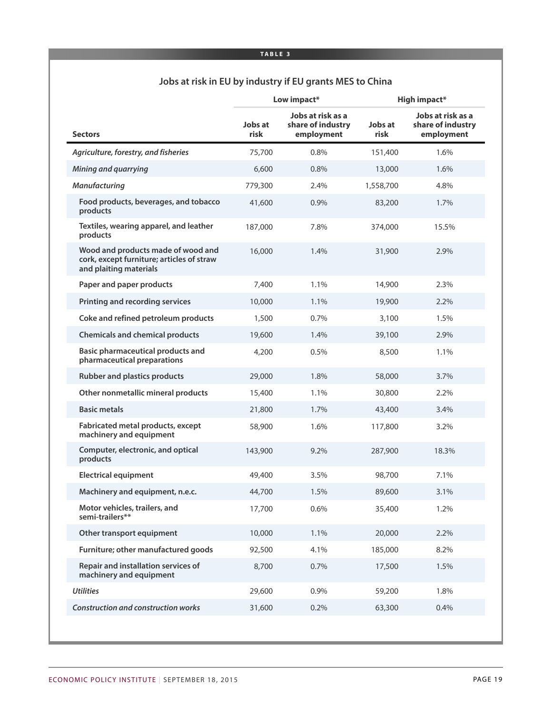#### **Jobs at risk in EU by industry if EU grants MES to China**

|                                                                                                           | Low impact*     |                                                      | <b>High impact*</b> |                                                      |
|-----------------------------------------------------------------------------------------------------------|-----------------|------------------------------------------------------|---------------------|------------------------------------------------------|
| <b>Sectors</b>                                                                                            | Jobs at<br>risk | Jobs at risk as a<br>share of industry<br>employment | Jobs at<br>risk     | Jobs at risk as a<br>share of industry<br>employment |
| Agriculture, forestry, and fisheries                                                                      | 75,700          | 0.8%                                                 | 151,400             | 1.6%                                                 |
| Mining and quarrying                                                                                      | 6,600           | 0.8%                                                 | 13,000              | 1.6%                                                 |
| <b>Manufacturing</b>                                                                                      | 779,300         | 2.4%                                                 | 1,558,700           | 4.8%                                                 |
| Food products, beverages, and tobacco<br>products                                                         | 41,600          | 0.9%                                                 | 83,200              | 1.7%                                                 |
| Textiles, wearing apparel, and leather<br>products                                                        | 187,000         | 7.8%                                                 | 374,000             | 15.5%                                                |
| Wood and products made of wood and<br>cork, except furniture; articles of straw<br>and plaiting materials | 16,000          | 1.4%                                                 | 31,900              | 2.9%                                                 |
| Paper and paper products                                                                                  | 7,400           | 1.1%                                                 | 14,900              | 2.3%                                                 |
| <b>Printing and recording services</b>                                                                    | 10,000          | 1.1%                                                 | 19,900              | 2.2%                                                 |
| Coke and refined petroleum products                                                                       | 1,500           | 0.7%                                                 | 3,100               | 1.5%                                                 |
| <b>Chemicals and chemical products</b>                                                                    | 19,600          | 1.4%                                                 | 39,100              | 2.9%                                                 |
| Basic pharmaceutical products and<br>pharmaceutical preparations                                          | 4,200           | 0.5%                                                 | 8,500               | 1.1%                                                 |
| <b>Rubber and plastics products</b>                                                                       | 29,000          | 1.8%                                                 | 58,000              | 3.7%                                                 |
| Other nonmetallic mineral products                                                                        | 15,400          | 1.1%                                                 | 30,800              | 2.2%                                                 |
| <b>Basic metals</b>                                                                                       | 21,800          | 1.7%                                                 | 43,400              | 3.4%                                                 |
| Fabricated metal products, except<br>machinery and equipment                                              | 58,900          | 1.6%                                                 | 117,800             | 3.2%                                                 |
| Computer, electronic, and optical<br>products                                                             | 143,900         | 9.2%                                                 | 287,900             | 18.3%                                                |
| <b>Electrical equipment</b>                                                                               | 49,400          | 3.5%                                                 | 98,700              | 7.1%                                                 |
| Machinery and equipment, n.e.c.                                                                           | 44,700          | 1.5%                                                 | 89,600              | 3.1%                                                 |
| Motor vehicles, trailers, and<br>semi-trailers**                                                          | 17,700          | 0.6%                                                 | 35,400              | 1.2%                                                 |
| Other transport equipment                                                                                 | 10,000          | 1.1%                                                 | 20,000              | 2.2%                                                 |
| Furniture; other manufactured goods                                                                       | 92,500          | 4.1%                                                 | 185,000             | 8.2%                                                 |
| Repair and installation services of<br>machinery and equipment                                            | 8,700           | 0.7%                                                 | 17,500              | 1.5%                                                 |
| <b>Utilities</b>                                                                                          | 29,600          | 0.9%                                                 | 59,200              | 1.8%                                                 |
| <b>Construction and construction works</b>                                                                | 31,600          | 0.2%                                                 | 63,300              | 0.4%                                                 |
|                                                                                                           |                 |                                                      |                     |                                                      |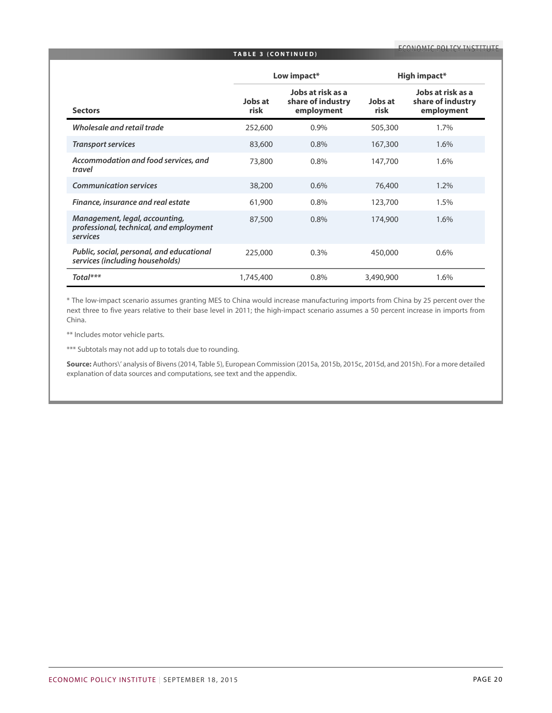#### **TABLE 3 ( C ONTINUED )**

|                                                                                       | Low impact*     |                                                      | High impact*    |                                                      |
|---------------------------------------------------------------------------------------|-----------------|------------------------------------------------------|-----------------|------------------------------------------------------|
| <b>Sectors</b>                                                                        | Jobs at<br>risk | Jobs at risk as a<br>share of industry<br>employment | Jobs at<br>risk | Jobs at risk as a<br>share of industry<br>employment |
| Wholesale and retail trade                                                            | 252,600         | 0.9%                                                 | 505,300         | 1.7%                                                 |
| <b>Transport services</b>                                                             | 83,600          | 0.8%                                                 | 167,300         | 1.6%                                                 |
| Accommodation and food services, and<br>travel                                        | 73,800          | 0.8%                                                 | 147,700         | 1.6%                                                 |
| <b>Communication services</b>                                                         | 38,200          | 0.6%                                                 | 76,400          | 1.2%                                                 |
| Finance, insurance and real estate                                                    | 61,900          | 0.8%                                                 | 123,700         | 1.5%                                                 |
| Management, legal, accounting,<br>professional, technical, and employment<br>services | 87,500          | 0.8%                                                 | 174,900         | 1.6%                                                 |
| Public, social, personal, and educational<br>services (including households)          | 225,000         | 0.3%                                                 | 450,000         | 0.6%                                                 |
| Total***                                                                              | 1,745,400       | 0.8%                                                 | 3,490,900       | 1.6%                                                 |

\* The low-impact scenario assumes granting MES to China would increase manufacturing imports from China by 25 percent over the next three to five years relative to their base level in 2011; the high-impact scenario assumes a 50 percent increase in imports from China.

\*\* Includes motor vehicle parts.

\*\*\* Subtotals may not add up to totals due to rounding.

**Source:** Authors\' analysis of Bivens(2014, Table 5), European Commission (2015a, 2015b, 2015c, 2015d, and 2015h). For a more detailed explanation of data sources and computations, see text and the appendix.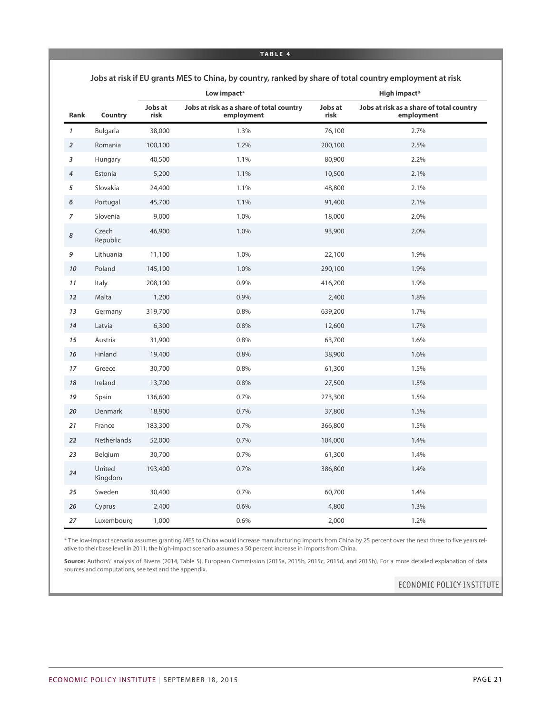**Jobs at risk if EU grants MES to China, by country, ranked by share of total country employment at risk**

|                |                   | Low impact*     |                                                        | High impact*    |                                                        |
|----------------|-------------------|-----------------|--------------------------------------------------------|-----------------|--------------------------------------------------------|
| Rank           | Country           | Jobs at<br>risk | Jobs at risk as a share of total country<br>employment | Jobs at<br>risk | Jobs at risk as a share of total country<br>employment |
| $\mathbf{1}$   | Bulgaria          | 38,000          | 1.3%                                                   | 76,100          | 2.7%                                                   |
| $\overline{2}$ | Romania           | 100,100         | 1.2%                                                   | 200,100         | 2.5%                                                   |
| 3              | Hungary           | 40,500          | 1.1%                                                   | 80,900          | 2.2%                                                   |
| $\overline{4}$ | Estonia           | 5,200           | 1.1%                                                   | 10,500          | 2.1%                                                   |
| 5              | Slovakia          | 24,400          | 1.1%                                                   | 48,800          | 2.1%                                                   |
| 6              | Portugal          | 45,700          | 1.1%                                                   | 91,400          | 2.1%                                                   |
| $\overline{7}$ | Slovenia          | 9,000           | 1.0%                                                   | 18,000          | 2.0%                                                   |
| 8              | Czech<br>Republic | 46,900          | 1.0%                                                   | 93,900          | 2.0%                                                   |
| 9              | Lithuania         | 11,100          | 1.0%                                                   | 22,100          | 1.9%                                                   |
| 10             | Poland            | 145,100         | 1.0%                                                   | 290,100         | 1.9%                                                   |
| 11             | Italy             | 208,100         | 0.9%                                                   | 416,200         | 1.9%                                                   |
| 12             | Malta             | 1,200           | 0.9%                                                   | 2,400           | 1.8%                                                   |
| 13             | Germany           | 319,700         | 0.8%                                                   | 639,200         | 1.7%                                                   |
| 14             | Latvia            | 6,300           | 0.8%                                                   | 12,600          | 1.7%                                                   |
| 15             | Austria           | 31,900          | 0.8%                                                   | 63,700          | 1.6%                                                   |
| 16             | Finland           | 19,400          | 0.8%                                                   | 38,900          | 1.6%                                                   |
| 17             | Greece            | 30,700          | 0.8%                                                   | 61,300          | 1.5%                                                   |
| 18             | Ireland           | 13,700          | 0.8%                                                   | 27,500          | 1.5%                                                   |
| 19             | Spain             | 136,600         | 0.7%                                                   | 273,300         | 1.5%                                                   |
| 20             | Denmark           | 18,900          | 0.7%                                                   | 37,800          | 1.5%                                                   |
| 21             | France            | 183,300         | 0.7%                                                   | 366,800         | 1.5%                                                   |
| 22             | Netherlands       | 52,000          | 0.7%                                                   | 104,000         | 1.4%                                                   |
| 23             | Belgium           | 30,700          | 0.7%                                                   | 61,300          | 1.4%                                                   |
| 24             | United<br>Kingdom | 193,400         | 0.7%                                                   | 386,800         | 1.4%                                                   |
| 25             | Sweden            | 30,400          | 0.7%                                                   | 60,700          | 1.4%                                                   |
| 26             | Cyprus            | 2,400           | 0.6%                                                   | 4,800           | 1.3%                                                   |
| 27             | Luxembourg        | 1,000           | 0.6%                                                   | 2,000           | 1.2%                                                   |

\* The low-impact scenario assumes granting MES to China would increase manufacturing imports from China by 25 percent over the next three to five years relative to their base level in 2011; the high-impact scenario assumes a 50 percent increase in imports from China.

Source: Authors\' analysis of Bivens (2014, Table 5), European Commission (2015a, 2015b, 2015c, 2015d, and 2015h). For a more detailed explanation of data sources and computations, see text and the appendix.

ECONOMIC POLICY INSTITUTE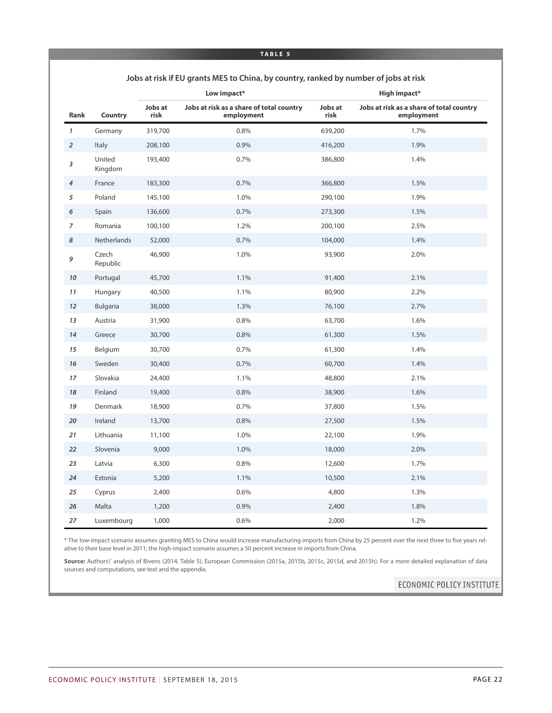|                |                   |                 | Low impact*                                            | High impact*    |                                                        |  |
|----------------|-------------------|-----------------|--------------------------------------------------------|-----------------|--------------------------------------------------------|--|
| Rank           | Country           | Jobs at<br>risk | Jobs at risk as a share of total country<br>employment | Jobs at<br>risk | Jobs at risk as a share of total country<br>employment |  |
| $\mathbf{1}$   | Germany           | 319,700         | 0.8%                                                   | 639,200         | 1.7%                                                   |  |
| $\overline{2}$ | Italy             | 208,100         | 0.9%                                                   | 416,200         | 1.9%                                                   |  |
| 3              | United<br>Kingdom | 193,400         | 0.7%                                                   | 386,800         | 1.4%                                                   |  |
| $\overline{4}$ | France            | 183,300         | 0.7%                                                   | 366,800         | 1.5%                                                   |  |
| 5              | Poland            | 145,100         | 1.0%                                                   | 290,100         | 1.9%                                                   |  |
| 6              | Spain             | 136,600         | 0.7%                                                   | 273,300         | 1.5%                                                   |  |
| 7              | Romania           | 100,100         | 1.2%                                                   | 200,100         | 2.5%                                                   |  |
| 8              | Netherlands       | 52,000          | 0.7%                                                   | 104,000         | 1.4%                                                   |  |
| 9              | Czech<br>Republic | 46,900          | 1.0%                                                   | 93,900          | 2.0%                                                   |  |
| 10             | Portugal          | 45,700          | 1.1%                                                   | 91,400          | 2.1%                                                   |  |
| 11             | Hungary           | 40,500          | 1.1%                                                   | 80,900          | 2.2%                                                   |  |
| 12             | <b>Bulgaria</b>   | 38,000          | 1.3%                                                   | 76,100          | 2.7%                                                   |  |
| 13             | Austria           | 31,900          | 0.8%                                                   | 63,700          | 1.6%                                                   |  |
| 14             | Greece            | 30,700          | 0.8%                                                   | 61,300          | 1.5%                                                   |  |
| 15             | Belgium           | 30,700          | 0.7%                                                   | 61,300          | 1.4%                                                   |  |
| 16             | Sweden            | 30,400          | 0.7%                                                   | 60,700          | 1.4%                                                   |  |
| 17             | Slovakia          | 24,400          | 1.1%                                                   | 48,800          | 2.1%                                                   |  |
| 18             | Finland           | 19,400          | 0.8%                                                   | 38,900          | 1.6%                                                   |  |
| 19             | Denmark           | 18,900          | 0.7%                                                   | 37,800          | 1.5%                                                   |  |
| 20             | Ireland           | 13,700          | 0.8%                                                   | 27,500          | 1.5%                                                   |  |
| 21             | Lithuania         | 11,100          | 1.0%                                                   | 22,100          | 1.9%                                                   |  |
| 22             | Slovenia          | 9,000           | 1.0%                                                   | 18,000          | 2.0%                                                   |  |
| 23             | Latvia            | 6,300           | 0.8%                                                   | 12,600          | 1.7%                                                   |  |
| 24             | Estonia           | 5,200           | 1.1%                                                   | 10,500          | 2.1%                                                   |  |
| 25             | Cyprus            | 2,400           | 0.6%                                                   | 4,800           | 1.3%                                                   |  |
| 26             | Malta             | 1,200           | 0.9%                                                   | 2,400           | 1.8%                                                   |  |
| 27             | Luxembourg        | 1,000           | 0.6%                                                   | 2,000           | 1.2%                                                   |  |

#### **Jobs at risk if EU grants MES to China, by country, ranked by number of jobs at risk**

\* The low-impact scenario assumes granting MES to China would increase manufacturing imports from China by 25 percent over the next three to five years relative to their base level in 2011; the high-impact scenario assumes a 50 percent increase in imports from China.

Source: Authors\' analysis of Bivens (2014, Table 5), European Commission (2015a, 2015b, 2015c, 2015d, and 2015h). For a more detailed explanation of data sources and computations, see text and the appendix.

ECONOMIC POLICY INSTITUTE